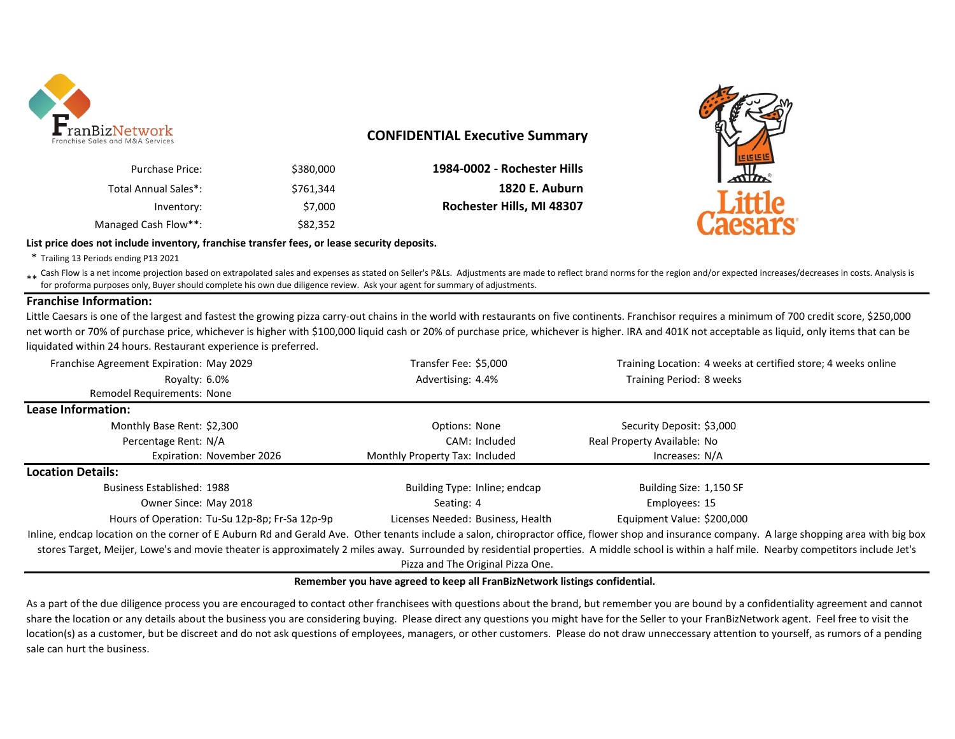

## **CONFIDENTIAL Executive Summary**

| Purchase Price:      | \$380,000 | 1984-0002 - Rochester Hills |
|----------------------|-----------|-----------------------------|
| Total Annual Sales*: | \$761.344 | <b>1820 E. Auburn</b>       |
| Inventory:           | \$7,000   | Rochester Hills, MI 48307   |
| Managed Cash Flow**: | \$82,352  |                             |



#### **List price does not include inventory, franchise transfer fees, or lease security deposits.**

\* Trailing 13 Periods ending P13 2021

Eash Flow is a net income projection based on extrapolated sales and expenses as stated on Seller's P&Ls. Adjustments are made to reflect brand norms for the region and/or expected increases/decreases in costs. Analysis is for proforma purposes only, Buyer should complete his own due diligence review. Ask your agent for summary of adjustments.

### **Franchise Information:**

Little Caesars is one of the largest and fastest the growing pizza carry-out chains in the world with restaurants on five continents. Franchisor requires a minimum of 700 credit score, \$250,000 net worth or 70% of purchase price, whichever is higher with \$100,000 liquid cash or 20% of purchase price, whichever is higher. IRA and 401K not acceptable as liquid, only items that can be liquidated within 24 hours. Restaurant experience is preferred.

| Franchise Agreement Expiration: May 2029       | Transfer Fee: \$5,000             | Training Location: 4 weeks at certified store; 4 weeks online                                                                                                                                  |  |  |  |  |
|------------------------------------------------|-----------------------------------|------------------------------------------------------------------------------------------------------------------------------------------------------------------------------------------------|--|--|--|--|
| Royalty: 6.0%                                  | Advertising: 4.4%                 | Training Period: 8 weeks                                                                                                                                                                       |  |  |  |  |
| <b>Remodel Requirements: None</b>              |                                   |                                                                                                                                                                                                |  |  |  |  |
| Lease Information:                             |                                   |                                                                                                                                                                                                |  |  |  |  |
| Monthly Base Rent: \$2,300                     | Options: None                     | Security Deposit: \$3,000                                                                                                                                                                      |  |  |  |  |
| Percentage Rent: N/A                           | CAM: Included                     | Real Property Available: No                                                                                                                                                                    |  |  |  |  |
| Expiration: November 2026                      | Monthly Property Tax: Included    | Increases: N/A                                                                                                                                                                                 |  |  |  |  |
| <b>Location Details:</b>                       |                                   |                                                                                                                                                                                                |  |  |  |  |
| <b>Business Established: 1988</b>              | Building Type: Inline; endcap     | Building Size: 1,150 SF                                                                                                                                                                        |  |  |  |  |
| Owner Since: May 2018                          | Seating: 4                        | Employees: 15                                                                                                                                                                                  |  |  |  |  |
| Hours of Operation: Tu-Su 12p-8p; Fr-Sa 12p-9p | Licenses Needed: Business, Health | Equipment Value: \$200,000                                                                                                                                                                     |  |  |  |  |
|                                                |                                   | Inline, endcap location on the corner of E Auburn Rd and Gerald Ave. Other tenants include a salon, chiropractor office, flower shop and insurance company. A large shopping area with big box |  |  |  |  |
|                                                |                                   | stores Target, Meijer, Lowe's and movie theater is approximately 2 miles away. Surrounded by residential properties. A middle school is within a half mile. Nearby competitors include Jet's   |  |  |  |  |
|                                                | Pizza and The Original Pizza One. |                                                                                                                                                                                                |  |  |  |  |

#### **Remember you have agreed to keep all FranBizNetwork listings confidential.**

As a part of the due diligence process you are encouraged to contact other franchisees with questions about the brand, but remember you are bound by a confidentiality agreement and cannot share the location or any details about the business you are considering buying. Please direct any questions you might have for the Seller to your FranBizNetwork agent. Feel free to visit the location(s) as a customer, but be discreet and do not ask questions of employees, managers, or other customers. Please do not draw unneccessary attention to yourself, as rumors of a pending sale can hurt the business.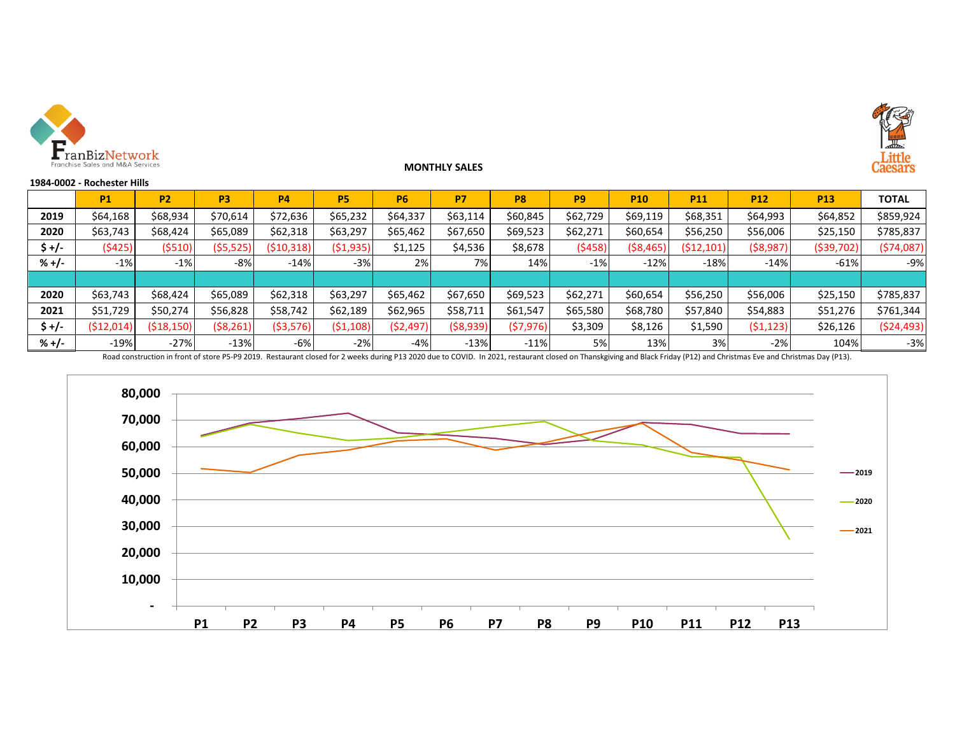

### **MONTHLY SALES**



#### **1984-0002 - Rochester Hills**

|         | <b>P1</b> | <b>P2</b>    | P3         | <b>P4</b>    | <b>P5</b>  | <b>P6</b> | P7         | P8        | P <sub>9</sub> | <b>P10</b> | <b>P11</b> | <b>P12</b> | <b>P13</b>   | <b>TOTAL</b> |
|---------|-----------|--------------|------------|--------------|------------|-----------|------------|-----------|----------------|------------|------------|------------|--------------|--------------|
| 2019    | \$64,168  | \$68.934     | \$70,614   | \$72,636     | \$65,232   | \$64,337  | \$63,114   | \$60,845  | \$62,729       | \$69,119   | \$68,351   | \$64,993   | \$64,852     | \$859,924    |
| 2020    | \$63,743  | \$68,424     | \$65,089   | \$62,318     | \$63,297   | \$65,462  | \$67,650   | \$69,523  | \$62,271       | \$60,654   | \$56,250   | \$56,006   | \$25,150     | \$785,837    |
| $$+/-$  | (5425)    | (\$510)      | ( \$5,525) | ( \$10, 318) | (\$1,935)  | \$1,125   | \$4,536    | \$8,678   | (5458)         | ( \$8,465) | (512, 101) | ( \$8,987) | ( \$39, 702) | (574,087)    |
| $% +/-$ | $-1%$     | $-1%$        | -8%        | $-14%$       | $-3%$      | 2%        | 7%         | 14%       | $-1%$          | $-12%$     | $-18%$     | $-14%$     | $-61%$       | $-9%$        |
|         |           |              |            |              |            |           |            |           |                |            |            |            |              |              |
| 2020    | \$63,743  | \$68.424     | \$65,089   | \$62,318     | \$63,297   | \$65,462  | \$67,650   | \$69,523  | \$62,271       | \$60,654   | \$56,250   | \$56,006   | \$25,150     | \$785,837    |
| 2021    | \$51,729  | \$50,274     | \$56,828   | \$58,742     | \$62,189   | \$62,965  | \$58,711   | \$61,547  | \$65,580       | \$68,780   | \$57,840   | \$54,883   | \$51,276     | \$761,344    |
| $$+/-$  | (512,014) | ( \$18, 150) | (\$8,261)  | (\$3,576)    | ( \$1,108) | (52, 497) | ( \$8,939) | (57, 976) | \$3,309        | \$8,126    | \$1,590    | (51, 123)  | \$26,126     | (524, 493)   |
| % +/-   | $-19%$    | $-27%$       | $-13%$     | -6%          | -2%        | -4%       | $-13%$     | $-11%$    | 5%             | 13%        | 3%         | $-2%$      | 104%         | $-3%$        |

Road construction in front of store P5-P9 2019. Restaurant closed for 2 weeks during P13 2020 due to COVID. In 2021, restaurant closed on Thanskgiving and Black Friday (P12) and Christmas Eve and Christmas Day (P13).